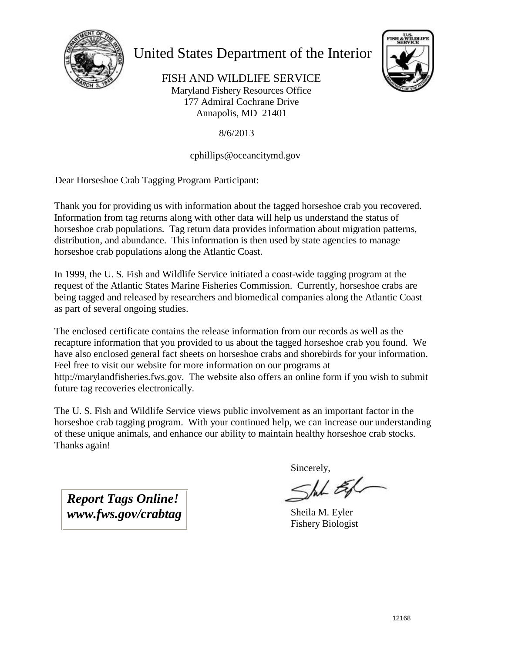

### United States Department of the Interior



FISH AND WILDLIFE SERVICE Maryland Fishery Resources Office 177 Admiral Cochrane Drive Annapolis, MD 21401

8/6/2013

#### cphillips@oceancitymd.gov

Dear Horseshoe Crab Tagging Program Participant:

Thank you for providing us with information about the tagged horseshoe crab you recovered. Information from tag returns along with other data will help us understand the status of horseshoe crab populations. Tag return data provides information about migration patterns, distribution, and abundance. This information is then used by state agencies to manage horseshoe crab populations along the Atlantic Coast.

In 1999, the U. S. Fish and Wildlife Service initiated a coast-wide tagging program at the request of the Atlantic States Marine Fisheries Commission. Currently, horseshoe crabs are being tagged and released by researchers and biomedical companies along the Atlantic Coast as part of several ongoing studies.

The enclosed certificate contains the release information from our records as well as the recapture information that you provided to us about the tagged horseshoe crab you found. We have also enclosed general fact sheets on horseshoe crabs and shorebirds for your information. Feel free to visit our website for more information on our programs at http://marylandfisheries.fws.gov. The website also offers an online form if you wish to submit future tag recoveries electronically.

The U. S. Fish and Wildlife Service views public involvement as an important factor in the horseshoe crab tagging program. With your continued help, we can increase our understanding of these unique animals, and enhance our ability to maintain healthy horseshoe crab stocks. Thanks again!

*Report Tags Online! www.fws.gov/crabtag*

Sincerely,<br>Shik Ex

Sheila M. Eyler Fishery Biologist